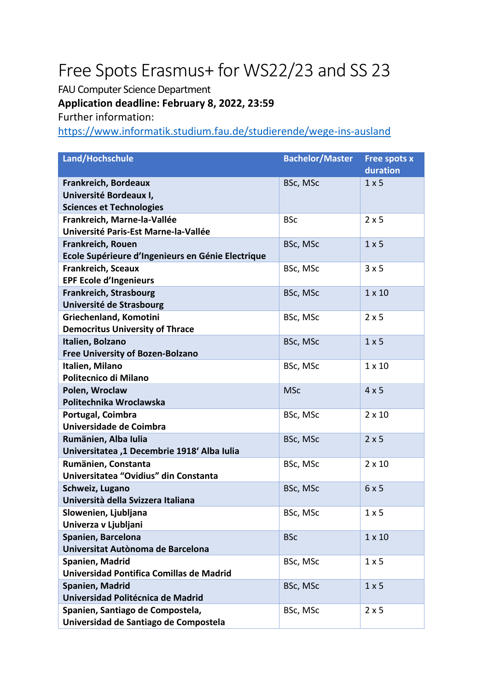## Free Spots Erasmus+ for WS22/23 and SS 23

FAU Computer Science Department

## **Application deadline: February 8, 2022, 23:59**

Further information:

<https://www.informatik.studium.fau.de/studierende/wege-ins-ausland>

| Land/Hochschule                                                           | <b>Bachelor/Master</b> | <b>Free spots x</b> |
|---------------------------------------------------------------------------|------------------------|---------------------|
|                                                                           |                        | duration            |
| Frankreich, Bordeaux                                                      | BSc, MSc               | $1 \times 5$        |
| Université Bordeaux I,                                                    |                        |                     |
| <b>Sciences et Technologies</b>                                           |                        |                     |
| Frankreich, Marne-la-Vallée                                               | <b>BSc</b>             | $2 \times 5$        |
| Université Paris-Est Marne-la-Vallée                                      |                        |                     |
| <b>Frankreich, Rouen</b>                                                  | BSc, MSc               | 1 x 5               |
| Ecole Supérieure d'Ingenieurs en Génie Electrique                         |                        |                     |
| <b>Frankreich, Sceaux</b>                                                 | BSc, MSc               | 3x5                 |
| <b>EPF Ecole d'Ingenieurs</b>                                             |                        |                     |
| <b>Frankreich, Strasbourg</b>                                             | BSc, MSc               | $1 \times 10$       |
| Université de Strasbourg                                                  |                        |                     |
| Griechenland, Komotini                                                    | BSc, MSc               | $2 \times 5$        |
| <b>Democritus University of Thrace</b>                                    |                        |                     |
| Italien, Bolzano                                                          | BSc, MSc               | 1 x 5               |
| Free University of Bozen-Bolzano                                          |                        |                     |
| Italien, Milano                                                           | BSc, MSc               | $1 \times 10$       |
| Politecnico di Milano                                                     |                        |                     |
| Polen, Wroclaw                                                            | <b>MSc</b>             | 4x5                 |
| Politechnika Wroclawska                                                   |                        |                     |
| Portugal, Coimbra                                                         | BSc, MSc               | $2 \times 10$       |
| Universidade de Coimbra                                                   |                        |                     |
| Rumänien, Alba Iulia                                                      | BSc, MSc               | 2x5                 |
| Universitatea ,1 Decembrie 1918' Alba Iulia                               |                        |                     |
| Rumänien, Constanta                                                       | BSc, MSc               | $2 \times 10$       |
| Universitatea "Ovidius" din Constanta                                     |                        |                     |
| Schweiz, Lugano                                                           | BSc, MSc               | 6x5                 |
| Università della Svizzera Italiana                                        |                        |                     |
| Slowenien, Ljubljana                                                      | BSc, MSc               | $1 \times 5$        |
| Univerza v Ljubljani                                                      |                        |                     |
| Spanien, Barcelona                                                        | <b>BSc</b>             | $1 \times 10$       |
| Universitat Autònoma de Barcelona                                         |                        |                     |
| Spanien, Madrid                                                           | BSc, MSc               | $1 \times 5$        |
| Universidad Pontifica Comillas de Madrid                                  |                        |                     |
| Spanien, Madrid                                                           | BSc, MSc               | $1 \times 5$        |
| Universidad Politécnica de Madrid                                         |                        |                     |
| Spanien, Santiago de Compostela,<br>Universidad de Santiago de Compostela | BSc, MSc               | $2 \times 5$        |